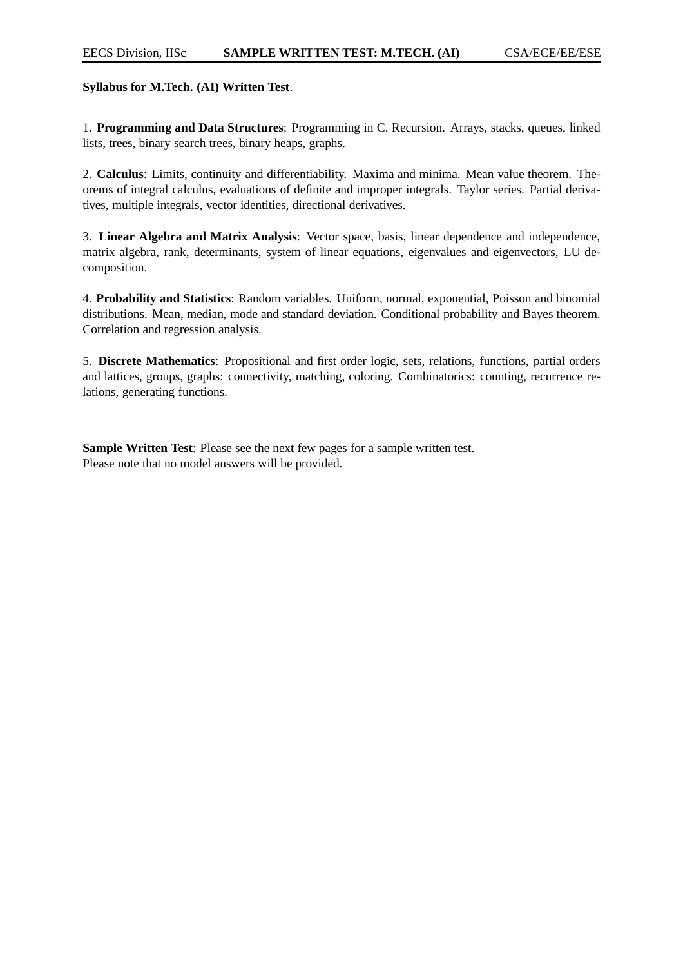## **Syllabus for M.Tech. (AI) Written Test**.

1. **Programming and Data Structures**: Programming in C. Recursion. Arrays, stacks, queues, linked lists, trees, binary search trees, binary heaps, graphs.

2. **Calculus**: Limits, continuity and differentiability. Maxima and minima. Mean value theorem. Theorems of integral calculus, evaluations of definite and improper integrals. Taylor series. Partial derivatives, multiple integrals, vector identities, directional derivatives.

3. **Linear Algebra and Matrix Analysis**: Vector space, basis, linear dependence and independence, matrix algebra, rank, determinants, system of linear equations, eigenvalues and eigenvectors, LU decomposition.

4. **Probability and Statistics**: Random variables. Uniform, normal, exponential, Poisson and binomial distributions. Mean, median, mode and standard deviation. Conditional probability and Bayes theorem. Correlation and regression analysis.

5. **Discrete Mathematics**: Propositional and first order logic, sets, relations, functions, partial orders and lattices, groups, graphs: connectivity, matching, coloring. Combinatorics: counting, recurrence relations, generating functions.

**Sample Written Test**: Please see the next few pages for a sample written test. Please note that no model answers will be provided.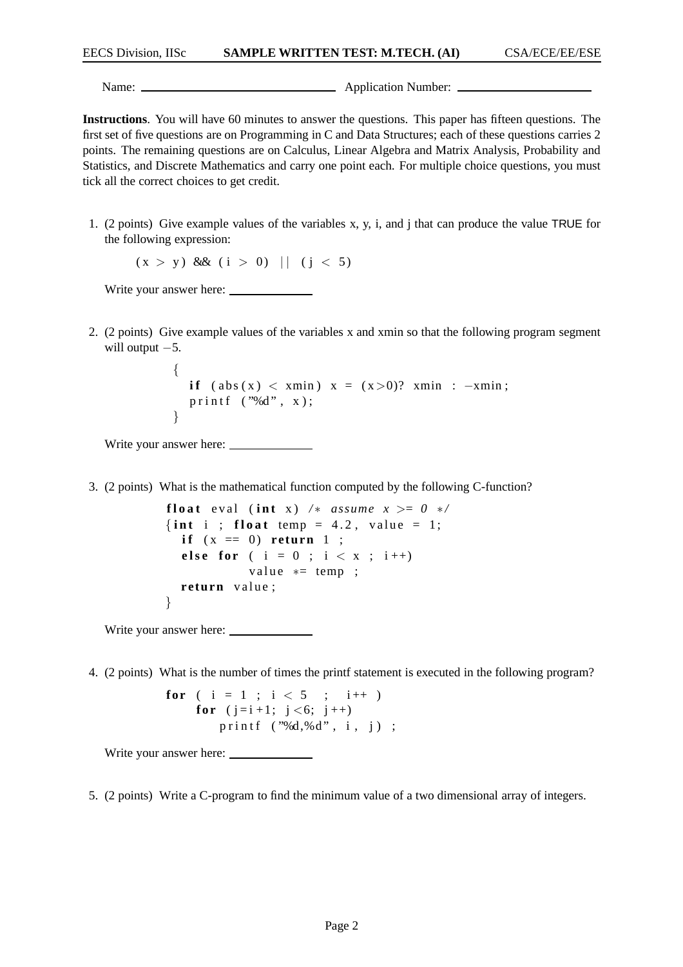Name: Name: Name: Name: Name: Name: Name: Name: Name: Name: Name: Name: Name: Name: Name: Name: Name: Name: Name: Name: Name: Name: Name: Name: Name: Name: Name: Name: Name: Name: Name: Name: Name: Name: Name: Name: Name:

**Instructions**. You will have 60 minutes to answer the questions. This paper has fifteen questions. The first set of five questions are on Programming in C and Data Structures; each of these questions carries 2 points. The remaining questions are on Calculus, Linear Algebra and Matrix Analysis, Probability and Statistics, and Discrete Mathematics and carry one point each. For multiple choice questions, you must tick all the correct choices to get credit.

1. (2 points) Give example values of the variables x, y, i, and j that can produce the value TRUE for the following expression:

 $(x > y)$  &  $(i > 0)$  ||  $(j < 5)$ 

Write your answer here:

2. (2 points) Give example values of the variables x and xmin so that the following program segment will output  $-5$ .

```
{
  if (abs(x) < xmin) x = (x>0)? xmin : -xmin;
  printf ('%d", x);
}
```
Write your answer here:

3. (2 points) What is the mathematical function computed by the following C-function?

```
float eval (int x) /* assume x >= 0 */
\{\text{int } i : \text{float } \text{temp} = 4.2, \text{ value } = 1;\}if (x == 0) return 1;
  else for ( i = 0 ; i < x ; i++)value *= temp;
  return value;
}
```
Write your answer here:  $\_\_$ 

4. (2 points) What is the number of times the printf statement is executed in the following program?

**for** (  $i = 1$  ;  $i < 5$  ;  $i++$  ) **for**  $(i=i+1; j < 6; j++)$ printf ("%d,%d", i, j) ;

Write your answer here:

5. (2 points) Write a C-program to find the minimum value of a two dimensional array of integers.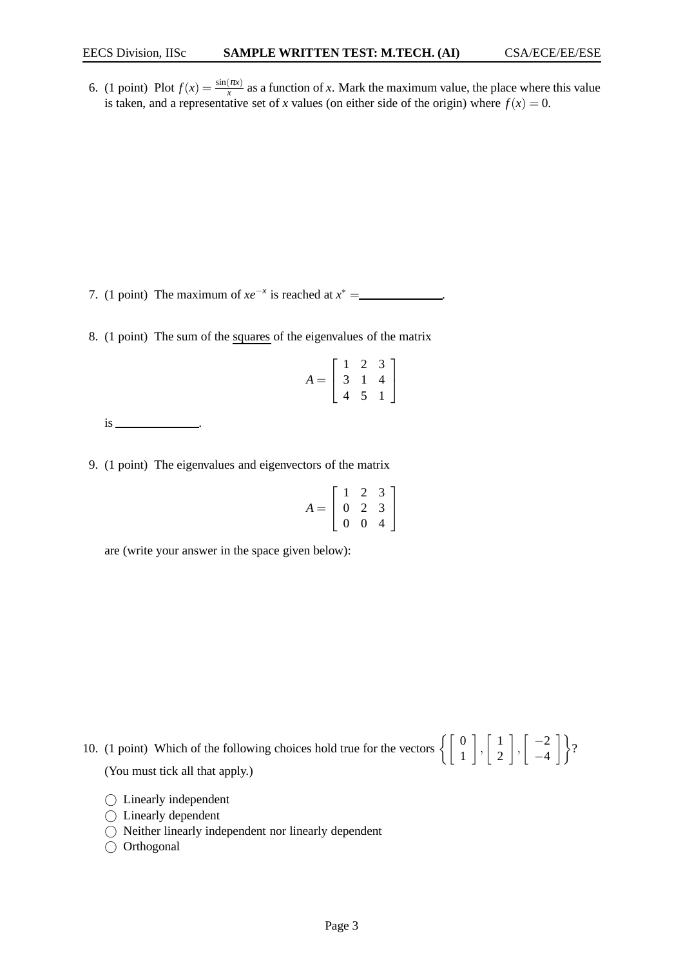6. (1 point) Plot  $f(x) = \frac{\sin(\pi x)}{x}$  as a function of *x*. Mark the maximum value, the place where this value is taken, and a representative set of *x* values (on either side of the origin) where  $f(x) = 0$ .

7. (1 point) The maximum of  $xe^{-x}$  is reached at  $x^* =$  ...

8. (1 point) The sum of the squares of the eigenvalues of the matrix

|                       |   | $^{\prime}$ |  |
|-----------------------|---|-------------|--|
| $\boldsymbol{A}$<br>= | 3 | Ŧ.          |  |
|                       |   | 5           |  |

 $is$   $\qquad$ 

9. (1 point) The eigenvalues and eigenvectors of the matrix

|                            | 1              | $\mathcal{D}_{\mathcal{L}}$ | 3 |
|----------------------------|----------------|-----------------------------|---|
| $\overline{A}$<br>$\equiv$ | $\overline{0}$ | $\mathcal{L}$               | 3 |
|                            | $\overline{0}$ | 0                           |   |

are (write your answer in the space given below):

10. (1 point) Which of the following choices hold true for the vectors  $\begin{bmatrix} 0 \\ 1 \end{bmatrix}$  $\left.\begin{matrix} \end{matrix}\right|$ ,  $\left[\begin{matrix} 1 \\ 2 \end{matrix}\right]$ 2  $\Big\}$ ,  $\Big\{ \Big\}$   $-2$  $\begin{bmatrix} -2 \\ -4 \end{bmatrix}$ ? (You must tick all that apply.)

- Linearly independent
- ◯ Linearly dependent
- Neither linearly independent nor linearly dependent
- $\bigcirc$  Orthogonal